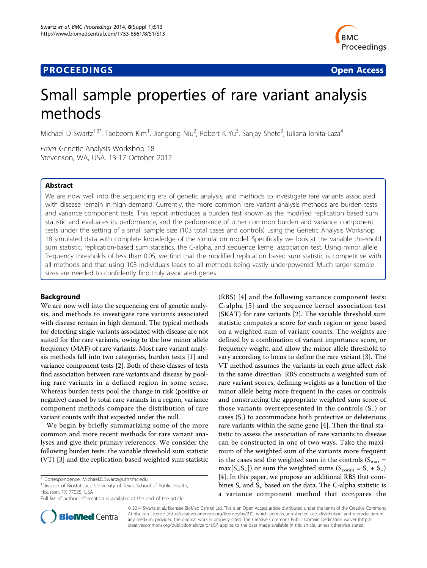# **PROCEEDINGS SECURE 2018 12:00 SECURE 2018 12:00 SECURE 2019 12:00 SECURE 2019 12:00 SECURE 2019 12:00 SECURE 30 SECURE 2019 12:00 SECURE 2019 12:00 SECURE 2019 12:00 SECURE 2019 12:00 SECURE 2019 12:00 SECURE 2019 12:00**



# Small sample properties of rare variant analysis methods

Michael D Swartz<sup>1,3\*</sup>, Taebeom Kim<sup>1</sup>, Jiangong Niu<sup>2</sup>, Robert K Yu<sup>3</sup>, Sanjay Shete<sup>3</sup>, Iuliana Ionita-Laza<sup>4</sup>

From Genetic Analysis Workshop 18 Stevenson, WA, USA. 13-17 October 2012

# Abstract

We are now well into the sequencing era of genetic analysis, and methods to investigate rare variants associated with disease remain in high demand. Currently, the more common rare variant analysis methods are burden tests and variance component tests. This report introduces a burden test known as the modified replication based sum statistic and evaluates its performance, and the performance of other common burden and variance component tests under the setting of a small sample size (103 total cases and controls) using the Genetic Analysis Workshop 18 simulated data with complete knowledge of the simulation model. Specifically we look at the variable threshold sum statistic, replication-based sum statistics, the C-alpha, and sequence kernel association test. Using minor allele frequency thresholds of less than 0.05, we find that the modified replication based sum statistic is competitive with all methods and that using 103 individuals leads to all methods being vastly underpowered. Much larger sample sizes are needed to confidently find truly associated genes.

# Background

We are now well into the sequencing era of genetic analysis, and methods to investigate rare variants associated with disease remain in high demand. The typical methods for detecting single variants associated with disease are not suited for the rare variants, owing to the low minor allele frequency (MAF) of rare variants. Most rare variant analysis methods fall into two categories, burden tests [\[1](#page-3-0)] and variance component tests [\[2](#page-3-0)]. Both of these classes of tests find association between rare variants and disease by pooling rare variants in a defined region in some sense. Whereas burden tests pool the change in risk (positive or negative) caused by total rare variants in a region, variance component methods compare the distribution of rare variant counts with that expected under the null.

We begin by briefly summarizing some of the more common and more recent methods for rare variant analyses and give their primary references. We consider the following burden tests: the variable threshold sum statistic (VT) [\[3](#page-3-0)] and the replication-based weighted sum statistic

<sup>1</sup> Division of Biostatistics, University of Texas School of Public Health, Houston, TX 77025, USA

(RBS) [[4\]](#page-3-0) and the following variance component tests: C-alpha [\[5\]](#page-3-0) and the sequence kernel association test (SKAT) for rare variants [[2\]](#page-3-0). The variable threshold sum statistic computes a score for each region or gene based on a weighted sum of variant counts. The weights are defined by a combination of variant importance score, or frequency weight, and allow the minor allele threshold to vary according to locus to define the rare variant [\[3](#page-3-0)]. The VT method assumes the variants in each gene affect risk in the same direction. RBS constructs a weighted sum of rare variant scores, defining weights as a function of the minor allele being more frequent in the cases or controls and constructing the appropriate weighted sum score of those variants overrepresented in the controls  $(S_+)$  or cases  $(S<sub>-</sub>)$  to accommodate both protective or deleterious rare variants within the same gene [\[4](#page-3-0)]. Then the final statistic to assess the association of rare variants to disease can be constructed in one of two ways. Take the maximum of the weighted sum of the variants more frequent in the cases and the weighted sum in the controls ( $S<sub>max</sub>$  =  $max[S_{-},S_{+}]$  or sum the weighted sums  $(S_{comb} = S_{-} + S_{+})$ [[4\]](#page-3-0). In this paper, we propose an additional RBS that combines  $S_1$  and  $S_2$  based on the data. The C-alpha statistic is a variance component method that compares the



© 2014 Swartz et al.; licensee BioMed Central Ltd. This is an Open Access article distributed under the terms of the Creative Commons Attribution License [\(http://creativecommons.org/licenses/by/2.0](http://creativecommons.org/licenses/by/2.0)), which permits unrestricted use, distribution, and reproduction in any medium, provided the original work is properly cited. The Creative Commons Public Domain Dedication waiver [\(http://](http://creativecommons.org/publicdomain/zero/1.0/) [creativecommons.org/publicdomain/zero/1.0/](http://creativecommons.org/publicdomain/zero/1.0/)) applies to the data made available in this article, unless otherwise stated.

<sup>\*</sup> Correspondence: [Michael.D.Swartz@uth.tmc.edu](mailto:Michael.D.Swartz@uth.tmc.edu)

Full list of author information is available at the end of the article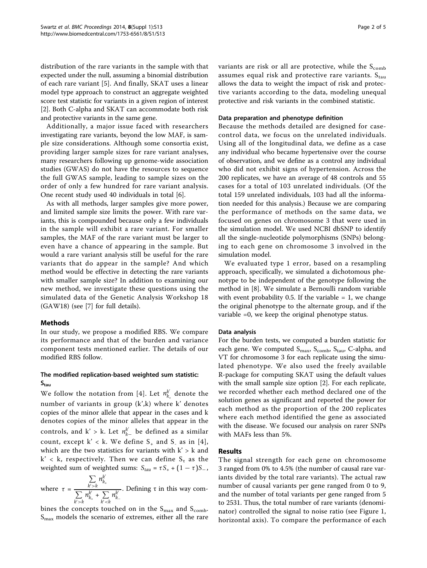distribution of the rare variants in the sample with that expected under the null, assuming a binomial distribution of each rare variant [[5\]](#page-3-0). And finally, SKAT uses a linear model type approach to construct an aggregate weighted score test statistic for variants in a given region of interest [[2\]](#page-3-0). Both C-alpha and SKAT can accommodate both risk and protective variants in the same gene.

Additionally, a major issue faced with researchers investigating rare variants, beyond the low MAF, is sample size considerations. Although some consortia exist, providing larger sample sizes for rare variant analyses, many researchers following up genome-wide association studies (GWAS) do not have the resources to sequence the full GWAS sample, leading to sample sizes on the order of only a few hundred for rare variant analysis. One recent study used 40 individuals in total [[6\]](#page-3-0).

As with all methods, larger samples give more power, and limited sample size limits the power. With rare variants, this is compounded because only a few individuals in the sample will exhibit a rare variant. For smaller samples, the MAF of the rare variant must be larger to even have a chance of appearing in the sample. But would a rare variant analysis still be useful for the rare variants that do appear in the sample? And which method would be effective in detecting the rare variants with smaller sample size? In addition to examining our new method, we investigate these questions using the simulated data of the Genetic Analysis Workshop 18 (GAW18) (see [\[7\]](#page-3-0) for full details).

# Methods

In our study, we propose a modified RBS. We compare its performance and that of the burden and variance component tests mentioned earlier. The details of our modified RBS follow.

# The modified replication-based weighted sum statistic:  $S<sub>tau</sub>$

We follow the notation from [[4\]](#page-3-0). Let  $n_{k_{+}}^{k'}$  denote the number of variants in group (k',k) where k' denotes copies of the minor allele that appear in the cases and k denotes copies of the minor alleles that appear in the controls, and  $k' > k$ . Let  $n_{k-}^{k'}$  be defined as a similar count, except  $k' < k$ . We define  $S_+$  and  $S_-$  as in [[4\]](#page-3-0), which are the two statistics for variants with  $k' > k$  and  $k' < k$ , respectively. Then we can define  $S_{\tau}$  as the weighted sum of weighted sums:  $S_{tau} = \tau S_+ + (1 - \tau)S_-,$ 

where  $\tau$  =  $\sum$ *k*- >*k*  $n_{k_{\scriptscriptstyle +}}^{k'}$  $\sum$ *k*- >*k*  $n_{k_{+}}^{k'} + \sum_{i}$ *k*- <*k nk*- *k*− . Defining τ in this way com-

bines the concepts touched on in the  $S_{\text{max}}$  and  $S_{\text{comb}}$ .  $S<sub>max</sub>$  models the scenario of extremes, either all the rare variants are risk or all are protective, while the  $S_{\text{comb}}$ assumes equal risk and protective rare variants.  $S_{tan}$ allows the data to weight the impact of risk and protective variants according to the data, modeling unequal protective and risk variants in the combined statistic.

#### Data preparation and phenotype definition

Because the methods detailed are designed for casecontrol data, we focus on the unrelated individuals. Using all of the longitudinal data, we define as a case any individual who became hypertensive over the course of observation, and we define as a control any individual who did not exhibit signs of hypertension. Across the 200 replicates, we have an average of 48 controls and 55 cases for a total of 103 unrelated individuals. (Of the total 159 unrelated individuals, 103 had all the information needed for this analysis.) Because we are comparing the performance of methods on the same data, we focused on genes on chromosome 3 that were used in the simulation model. We used NCBI dbSNP to identify all the single-nucleotide polymorphisms (SNPs) belonging to each gene on chromosome 3 involved in the simulation model.

We evaluated type 1 error, based on a resampling approach, specifically, we simulated a dichotomous phenotype to be independent of the genotype following the method in [[8\]](#page-4-0). We simulate a Bernoulli random variable with event probability 0.5. If the variable  $= 1$ , we change the original phenotype to the alternate group, and if the variable =0, we keep the original phenotype status.

#### Data analysis

For the burden tests, we computed a burden statistic for each gene. We computed S<sub>max</sub>, S<sub>comb</sub>, S<sub>tau</sub>, C-alpha, and VT for chromosome 3 for each replicate using the simulated phenotype. We also used the freely available R-package for computing SKAT using the default values with the small sample size option [[2](#page-3-0)]. For each replicate, we recorded whether each method declared one of the solution genes as significant and reported the power for each method as the proportion of the 200 replicates where each method identified the gene as associated with the disease. We focused our analysis on rarer SNPs with MAFs less than 5%.

# Results

The signal strength for each gene on chromosome 3 ranged from 0% to 4.5% (the number of causal rare variants divided by the total rare variants). The actual raw number of causal variants per gene ranged from 0 to 9, and the number of total variants per gene ranged from 5 to 2531. Thus, the total number of rare variants (denominator) controlled the signal to noise ratio (see Figure [1](#page-2-0), horizontal axis). To compare the performance of each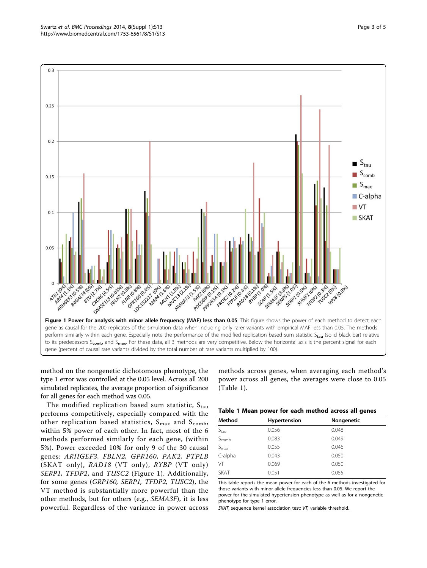<span id="page-2-0"></span>

method on the nongenetic dichotomous phenotype, the type 1 error was controlled at the 0.05 level. Across all 200 simulated replicates, the average proportion of significance for all genes for each method was 0.05.

The modified replication based sum statistic,  $S_{\text{tau}}$ performs competitively, especially compared with the other replication based statistics,  $S_{max}$  and  $S_{comb}$ , within 5% power of each other. In fact, most of the 6 methods performed similarly for each gene, (within 5%). Power exceeded 10% for only 9 of the 30 causal genes: ARHGEF3, FBLN2, GPR160, PAK2, PTPLB (SKAT only), RAD18 (VT only), RYBP (VT only) SERP1, TFDP2, and TUSC2 (Figure 1). Additionally, for some genes (GRP160, SERP1, TFDP2, TUSC2), the VT method is substantially more powerful than the other methods, but for others (e.g., SEMA3F), it is less powerful. Regardless of the variance in power across

methods across genes, when averaging each method's power across all genes, the averages were close to 0.05 (Table 1).

|  |  |  |  |  |  | Table 1 Mean power for each method across all genes |  |  |  |
|--|--|--|--|--|--|-----------------------------------------------------|--|--|--|
|--|--|--|--|--|--|-----------------------------------------------------|--|--|--|

| Method           | Hypertension | Nongenetic |
|------------------|--------------|------------|
| S <sub>tau</sub> | 0.056        | 0.048      |
| $S_{comb}$       | 0.083        | 0.049      |
| $S_{\text{max}}$ | 0.055        | 0.046      |
| C-alpha          | 0.043        | 0.050      |
| VT               | 0.069        | 0.050      |
| <b>SKAT</b>      | 0.051        | 0.055      |

This table reports the mean power for each of the 6 methods investigated for those variants with minor allele frequencies less than 0.05. We report the power for the simulated hypertension phenotype as well as for a nongenetic phenotype for type 1 error.

SKAT, sequence kernel association test; VT, variable threshold.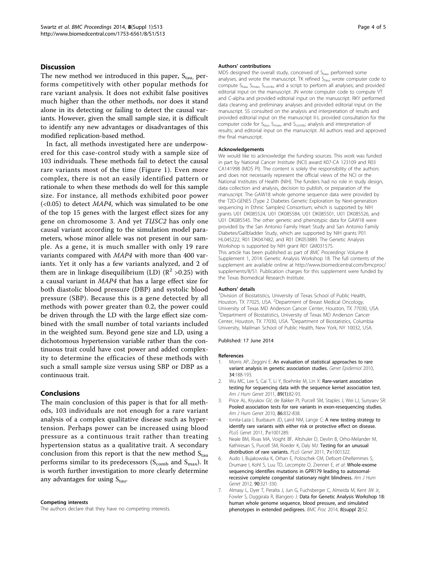#### <span id="page-3-0"></span>**Discussion**

The new method we introduced in this paper,  $S_{tau}$ , performs competitively with other popular methods for rare variant analysis. It does not exhibit false positives much higher than the other methods, nor does it stand alone in its detecting or failing to detect the causal variants. However, given the small sample size, it is difficult to identify any new advantages or disadvantages of this modified replication-based method.

In fact, all methods investigated here are underpowered for this case-control study with a sample size of 103 individuals. These methods fail to detect the causal rare variants most of the time (Figure [1\)](#page-2-0). Even more complex, there is not an easily identified pattern or rationale to when these methods do well for this sample size. For instance, all methods exhibited poor power  $( $0.05$ )$  to detect *MAP4*, which was simulated to be one of the top 15 genes with the largest effect sizes for any gene on chromosome 3. And yet TUSC2 has only one causal variant according to the simulation model parameters, whose minor allele was not present in our sample. As a gene, it is much smaller with only 19 rare variants compared with MAP4 with more than 400 variants. Yet it only has a few variants analyzed, and 2 of them are in linkage disequilibrium (LD)  $(R^2 > 0.25)$  with a causal variant in MAP4 that has a large effect size for both diastolic blood pressure (DBP) and systolic blood pressure (SBP). Because this is a gene detected by all methods with power greater than 0.2, the power could be driven through the LD with the large effect size combined with the small number of total variants included in the weighted sum. Beyond gene size and LD, using a dichotomous hypertension variable rather than the continuous trait could have cost power and added complexity to determine the efficacies of these methods with such a small sample size versus using SBP or DBP as a continuous trait.

### Conclusions

The main conclusion of this paper is that for all methods, 103 individuals are not enough for a rare variant analysis of a complex qualitative disease such as hypertension. Perhaps power can be increased using blood pressure as a continuous trait rather than treating hypertension status as a qualitative trait. A secondary conclusion from this report is that the new method  $S<sub>tau</sub>$ performs similar to its predecessors ( $S_{\rm comb}$  and  $S_{\rm max}$ ). It is worth further investigation to more clearly determine any advantages for using  $S_{tau}$ .

#### Competing interests

The authors declare that they have no competing interests.

#### Authors' contributions

MDS designed the overall study, conceived of  $S_{tau}$  performed some analyses, and wrote the manuscript. TK refined  $S<sub>tau</sub>$ ; wrote computer code to compute S<sub>tau</sub>, S<sub>max</sub>, S<sub>comby</sub> and a script to perform all analyses; and provided editorial input on the manuscript. JN wrote computer code to compute VT and C-alpha and provided editorial input on the manuscript. RKY performed data cleaning and preliminary analyses and provided editorial input on the manuscript. SS consulted on the analysis and interpretation of results and provided editorial input on the manuscript II-L provided consultation for the computer code for  $S_{tau}$ ,  $S_{max}$ , and  $S_{comb}$ ; analysis and interpretation of results; and editorial input on the manuscript. All authors read and approved the final manuscript.

#### Acknowledgements

We would like to acknowledge the funding sources. This work was funded in part by National Cancer Institute (NCI) award K07-CA 123109 and R03 CA141998 (MDS PI). The content is solely the responsibility of the authors and does not necessarily represent the official views of the NCI or the National Institutes of Health (NIH). The funders had no role in study design, data collection and analysis, decision to publish, or preparation of the manuscript. The GAW18 whole genome sequence data were provided by the T2D-GENES (Type 2 Diabetes Genetic Exploration by Next-generation sequencing in Ethnic Samples) Consortium, which is supported by NIH grants U01 DK085524, U01 DK085584, U01 DK085501, U01 DK085526, and U01 DK085545. The other genetic and phenotypic data for GAW18 were provided by the San Antonio Family Heart Study and San Antonio Family Diabetes/Gallbladder Study, which are supported by NIH grants P01 HL045222, R01 DK047482, and R01 DK053889. The Genetic Analysis Workshop is supported by NIH grant R01 GM031575. This article has been published as part of BMC Proceedings Volume 8 Supplement 1, 2014: Genetic Analysis Workshop 18. The full contents of the supplement are available online at [http://www.biomedcentral.com/bmcproc/](http://www.biomedcentral.com/bmcproc/supplements/8/S1) [supplements/8/S1.](http://www.biomedcentral.com/bmcproc/supplements/8/S1) Publication charges for this supplement were funded by the Texas Biomedical Research Institute.

#### Authors' details <sup>1</sup>

Division of Biostatistics, University of Texas School of Public Health, Houston, TX 77025, USA. <sup>2</sup>Department of Breast Medical Oncology University of Texas MD Anderson Cancer Center, Houston, TX 77030, USA. <sup>3</sup>Department of Biostatistics, University of Texas MD Anderson Cancer Center, Houston, TX 77030, USA. <sup>4</sup>Department of Biostatistics, Columbia University, Mailman School of Public Health, New York, NY 10032, USA.

#### Published: 17 June 2014

#### References

- 1. Morris AP, Zeggini E: [An evaluation of statistical approaches to rare](http://www.ncbi.nlm.nih.gov/pubmed/19810025?dopt=Abstract) [variant analysis in genetic association studies.](http://www.ncbi.nlm.nih.gov/pubmed/19810025?dopt=Abstract) Genet Epidemiol 2010, 34:188-193.
- 2. Wu MC, Lee S, Cai T, Li Y, Boehnke M, Lin X: [Rare-variant association](http://www.ncbi.nlm.nih.gov/pubmed/21737059?dopt=Abstract) [testing for sequencing data with the sequence kernel association test.](http://www.ncbi.nlm.nih.gov/pubmed/21737059?dopt=Abstract) Am J Hum Genet 2011, 89(1):82-93.
- 3. Price AL, Kryukov GV, de Bakker PI, Purcell SM, Staples J, Wei LJ, Sunyaev SR: [Pooled association tests for rare variants in exon-resequencing studies.](http://www.ncbi.nlm.nih.gov/pubmed/20471002?dopt=Abstract) Am J Hum Genet 2010, 86:832-838.
- Ionita-Laza I, Buxbaum JD, Laird NM, Lange C: [A new testing strategy to](http://www.ncbi.nlm.nih.gov/pubmed/21304886?dopt=Abstract) [identify rare variants with either risk or protective effect on disease.](http://www.ncbi.nlm.nih.gov/pubmed/21304886?dopt=Abstract) PLoS Genet 2011, 7:e1001289.
- Neale BM, Rivas MA, Voight BF, Altshuler D, Devlin B, Orho-Melander M, Kathiresan S, Purcell SM, Roeder K, Daly MJ: [Testing for an unusual](http://www.ncbi.nlm.nih.gov/pubmed/21408211?dopt=Abstract) [distribution of rare variants.](http://www.ncbi.nlm.nih.gov/pubmed/21408211?dopt=Abstract) PLoS Genet 2011, 7:e1001322.
- 6. Audo I, Bujakowska K, Orhan E, Poloschek CM, Defoort-Dhellemmes S, Drumare I, Kohl S, Luu TD, Lecompte O, Zrenner E, et al: [Whole-exome](http://www.ncbi.nlm.nih.gov/pubmed/22325361?dopt=Abstract) [sequencing identifies mutations in GPR179 leading to autosomal](http://www.ncbi.nlm.nih.gov/pubmed/22325361?dopt=Abstract)[recessive complete congenital stationary night blindness.](http://www.ncbi.nlm.nih.gov/pubmed/22325361?dopt=Abstract) Am J Hum Genet 2012, 90:321-330.
- 7. Almasy L, Dyer T, Peralta J, Jun G, Fuchsberger C, Almeida M, Kent JW Jr, Fowler S, Duggirala R, Blangero J: Data for Genetic Analysis Workshop 18: human whole genome sequence, blood pressure, and simulated phenotypes in extended pedigrees. BMC Proc 2014, 8(suppl 2):S2.